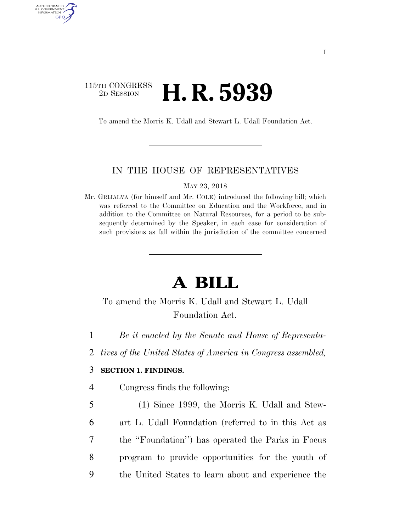## 115TH CONGRESS <sup>2D SESSION</sup> **H. R. 5939**

AUTHENTICATED U.S. GOVERNMENT GPO

To amend the Morris K. Udall and Stewart L. Udall Foundation Act.

#### IN THE HOUSE OF REPRESENTATIVES

MAY 23, 2018

Mr. GRIJALVA (for himself and Mr. COLE) introduced the following bill; which was referred to the Committee on Education and the Workforce, and in addition to the Committee on Natural Resources, for a period to be subsequently determined by the Speaker, in each case for consideration of such provisions as fall within the jurisdiction of the committee concerned

# **A BILL**

## To amend the Morris K. Udall and Stewart L. Udall Foundation Act.

- 1 *Be it enacted by the Senate and House of Representa-*
- 2 *tives of the United States of America in Congress assembled,*

## 3 **SECTION 1. FINDINGS.**

- 4 Congress finds the following:
- 5 (1) Since 1999, the Morris K. Udall and Stew-6 art L. Udall Foundation (referred to in this Act as 7 the ''Foundation'') has operated the Parks in Focus 8 program to provide opportunities for the youth of 9 the United States to learn about and experience the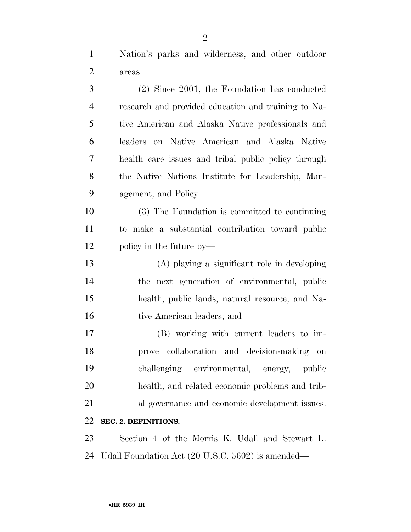Nation's parks and wilderness, and other outdoor areas.

| 3              | (2) Since 2001, the Foundation has conducted        |
|----------------|-----------------------------------------------------|
| $\overline{4}$ | research and provided education and training to Na- |
| 5              | tive American and Alaska Native professionals and   |
| 6              | leaders on Native American and Alaska Native        |
| 7              | health care issues and tribal public policy through |
| 8              | the Native Nations Institute for Leadership, Man-   |
| 9              | agement, and Policy.                                |
| 10             | (3) The Foundation is committed to continuing       |
| 11             | to make a substantial contribution toward public    |
| 12             | policy in the future by—                            |
| 13             | (A) playing a significant role in developing        |
| 14             | the next generation of environmental, public        |
| 15             | health, public lands, natural resource, and Na-     |
| 16             | tive American leaders; and                          |
| 17             | (B) working with current leaders to im-             |
| 18             | prove collaboration and decision-making on          |
| 19             | challenging environmental, energy, public           |
| 20             | health, and related economic problems and trib-     |
| 21             | al governance and economic development issues.      |
| 22             | SEC. 2. DEFINITIONS.                                |
| 23             | Section 4 of the Morris K. Udall and Stewart L.     |
| 24             | Udall Foundation Act (20 U.S.C. 5602) is amended—   |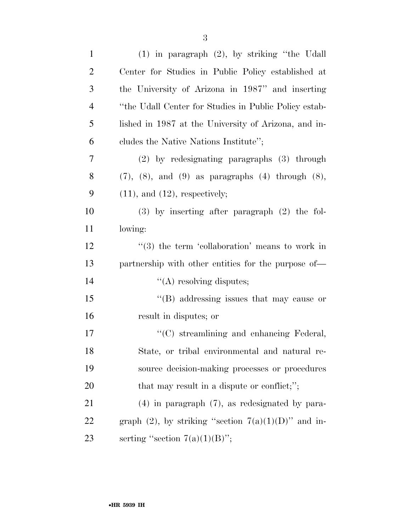| $\mathbf{1}$   | $(1)$ in paragraph $(2)$ , by striking "the Udall             |
|----------------|---------------------------------------------------------------|
| $\overline{2}$ | Center for Studies in Public Policy established at            |
| 3              | the University of Arizona in 1987" and inserting              |
| 4              | "the Udall Center for Studies in Public Policy estab-         |
| 5              | lished in 1987 at the University of Arizona, and in-          |
| 6              | cludes the Native Nations Institute";                         |
| 7              | (2) by redesignating paragraphs (3) through                   |
| 8              | $(7)$ , $(8)$ , and $(9)$ as paragraphs $(4)$ through $(8)$ , |
| 9              | $(11)$ , and $(12)$ , respectively;                           |
| 10             | $(3)$ by inserting after paragraph $(2)$ the fol-             |
| 11             | lowing:                                                       |
| 12             | $\lq(3)$ the term 'collaboration' means to work in            |
| 13             | partnership with other entities for the purpose of—           |
| 14             | "(A) resolving disputes;                                      |
| 15             | $\lq\lq$ and $\lq$ and $\lq$ issues that may cause or         |
| 16             | result in disputes; or                                        |
| 17             | "(C) streamlining and enhancing Federal,                      |
| 18             | State, or tribal environmental and natural re-                |
| 19             | source decision-making processes or procedures                |
| 20             | that may result in a dispute or conflict;";                   |
| 21             | $(4)$ in paragraph $(7)$ , as redesignated by para-           |
| 22             | graph (2), by striking "section $7(a)(1)(D)$ " and in-        |
| 23             | serting "section $7(a)(1)(B)$ ";                              |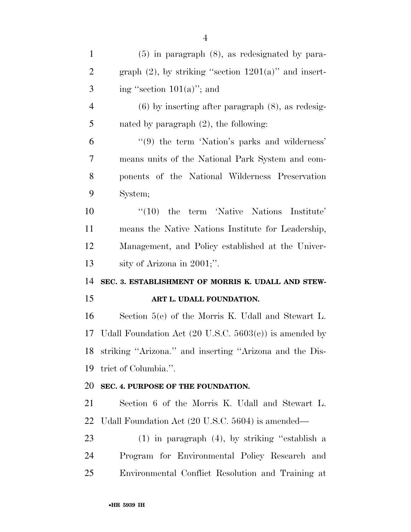| $\mathbf{1}$   | $(5)$ in paragraph $(8)$ , as redesignated by para-               |
|----------------|-------------------------------------------------------------------|
| $\overline{2}$ | graph $(2)$ , by striking "section $1201(a)$ " and insert-        |
| 3              | ing "section $101(a)$ "; and                                      |
| $\overline{4}$ | $(6)$ by inserting after paragraph $(8)$ , as redesig-            |
| 5              | nated by paragraph $(2)$ , the following:                         |
| 6              | "(9) the term 'Nation's parks and wilderness'                     |
| $\overline{7}$ | means units of the National Park System and com-                  |
| 8              | ponents of the National Wilderness Preservation                   |
| 9              | System;                                                           |
| 10             | $\lq(10)$ the term 'Native Nations Institute'                     |
| 11             | means the Native Nations Institute for Leadership,                |
| 12             | Management, and Policy established at the Univer-                 |
| 13             | sity of Arizona in $2001$ ;".                                     |
| 14             | SEC. 3. ESTABLISHMENT OF MORRIS K. UDALL AND STEW-                |
| 15             | ART L. UDALL FOUNDATION.                                          |
| 16             | Section $5(e)$ of the Morris K. Udall and Stewart L.              |
| 17             | Udall Foundation Act $(20 \text{ U.S.C. } 5603(e))$ is amended by |
| 18             | striking "Arizona." and inserting "Arizona and the Dis-           |
| 19             | trict of Columbia.".                                              |
| 20             | SEC. 4. PURPOSE OF THE FOUNDATION.                                |
| 21             | Section 6 of the Morris K. Udall and Stewart L.                   |
| 22             | Udall Foundation Act (20 U.S.C. 5604) is amended—                 |
| 23             | $(1)$ in paragraph $(4)$ , by striking "establish a               |
| 24             | Program for Environmental Policy Research and                     |
| 25             | Environmental Conflict Resolution and Training at                 |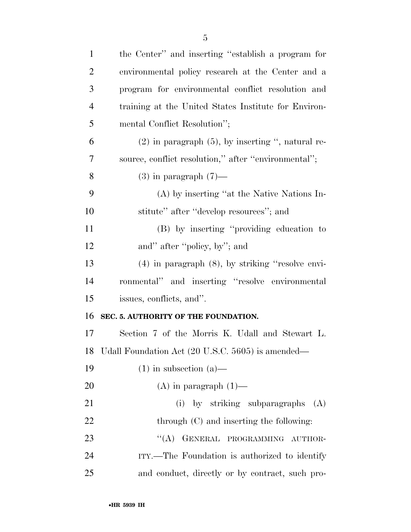| $\mathbf{1}$   | the Center" and inserting "establish a program for     |
|----------------|--------------------------------------------------------|
| $\overline{2}$ | environmental policy research at the Center and a      |
| 3              | program for environmental conflict resolution and      |
| $\overline{4}$ | training at the United States Institute for Environ-   |
| 5              | mental Conflict Resolution";                           |
| 6              | $(2)$ in paragraph $(5)$ , by inserting ", natural re- |
| 7              | source, conflict resolution," after "environmental";   |
| 8              | $(3)$ in paragraph $(7)$ —                             |
| 9              | (A) by inserting "at the Native Nations In-            |
| 10             | stitute" after "develop resources"; and                |
| 11             | (B) by inserting "providing education to               |
| 12             | and" after "policy, by"; and                           |
| 13             | $(4)$ in paragraph $(8)$ , by striking "resolve envi-  |
| 14             | ronmental" and inserting "resolve environmental        |
| 15             | issues, conflicts, and".                               |
| 16             | SEC. 5. AUTHORITY OF THE FOUNDATION.                   |
| 17             | Section 7 of the Morris K. Udall and Stewart L.        |
|                | 18 Udall Foundation Act (20 U.S.C. 5605) is amended—   |
| 19             | $(1)$ in subsection $(a)$ —                            |
| 20             | $(A)$ in paragraph $(1)$ —                             |
| 21             | (i) by striking subparagraphs (A)                      |
| <u>22</u>      | through $(C)$ and inserting the following:             |
| 23             | "(A) GENERAL PROGRAMMING AUTHOR-                       |
| 24             | ITY.—The Foundation is authorized to identify          |
| 25             | and conduct, directly or by contract, such pro-        |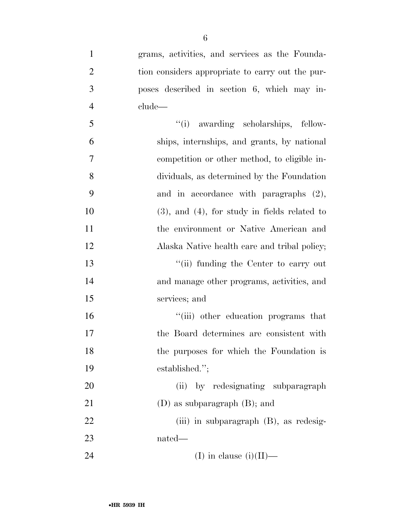| $\mathbf{1}$   | grams, activities, and services as the Founda-     |
|----------------|----------------------------------------------------|
| $\overline{2}$ | tion considers appropriate to carry out the pur-   |
| 3              | poses described in section 6, which may in-        |
| $\overline{4}$ | clude—                                             |
| 5              | "(i) awarding scholarships, fellow-                |
| 6              | ships, internships, and grants, by national        |
| $\overline{7}$ | competition or other method, to eligible in-       |
| 8              | dividuals, as determined by the Foundation         |
| 9              | and in accordance with paragraphs $(2)$ ,          |
| 10             | $(3)$ , and $(4)$ , for study in fields related to |
| 11             | the environment or Native American and             |
| 12             | Alaska Native health care and tribal policy;       |
| 13             | "(ii) funding the Center to carry out              |
| 14             | and manage other programs, activities, and         |
| 15             | services; and                                      |
| 16             | "(iii) other education programs that               |
| 17             | the Board determines are consistent with           |
| 18             | the purposes for which the Foundation is           |
| 19             | established.";                                     |
| 20             | by redesignating subparagraph<br>(ii)              |
| 21             | $(D)$ as subparagraph $(B)$ ; and                  |
| 22             | $(iii)$ in subparagraph $(B)$ , as redesig-        |
| 23             | nated—                                             |
|                |                                                    |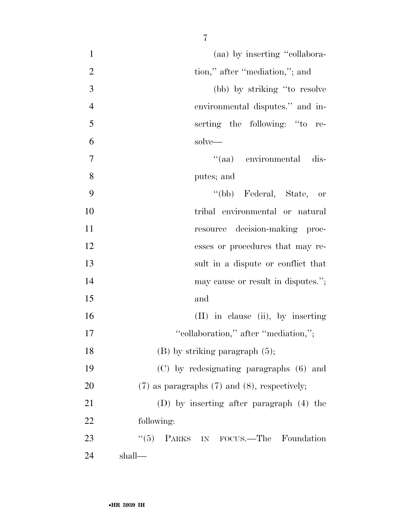| $\mathbf{1}$   | (aa) by inserting "collabora-                       |
|----------------|-----------------------------------------------------|
| $\overline{2}$ | tion," after "mediation,"; and                      |
| 3              | (bb) by striking "to resolve                        |
| $\overline{4}$ | environmental disputes." and in-                    |
| 5              | serting the following: "to re-                      |
| 6              | solve—                                              |
| 7              | "(aa) environmental dis-                            |
| 8              | putes; and                                          |
| 9              | "(bb) Federal, State, or                            |
| 10             | tribal environmental or natural                     |
| 11             | resource decision-making proc-                      |
| 12             | esses or procedures that may re-                    |
| 13             | sult in a dispute or conflict that                  |
| 14             | may cause or result in disputes.";                  |
| 15             | and                                                 |
| 16             | $(II)$ in clause $(ii)$ , by inserting              |
| 17             | "collaboration," after "mediation,";                |
| 18             | $(B)$ by striking paragraph $(5)$ ;                 |
| 19             | (C) by redesignating paragraphs (6) and             |
| 20             | $(7)$ as paragraphs $(7)$ and $(8)$ , respectively; |
| 21             | $(D)$ by inserting after paragraph $(4)$ the        |
| 22             | following:                                          |
| 23             | "(5) PARKS IN FOCUS.—The Foundation                 |
| 24             | shall—                                              |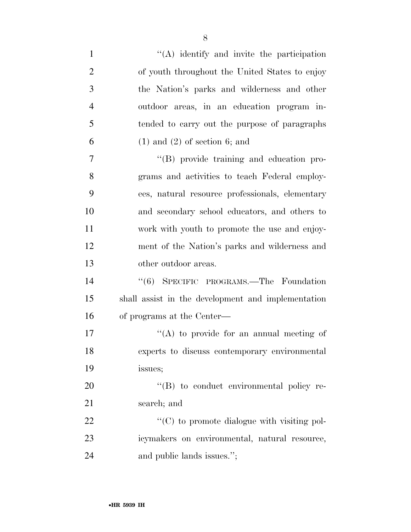| $\mathbf{1}$   | $\lq\lq$ identify and invite the participation     |
|----------------|----------------------------------------------------|
| $\overline{2}$ | of youth throughout the United States to enjoy     |
| 3              | the Nation's parks and wilderness and other        |
| $\overline{4}$ | outdoor areas, in an education program in-         |
| 5              | tended to carry out the purpose of paragraphs      |
| 6              | $(1)$ and $(2)$ of section 6; and                  |
| 7              | "(B) provide training and education pro-           |
| 8              | grams and activities to teach Federal employ-      |
| 9              | ees, natural resource professionals, elementary    |
| 10             | and secondary school educators, and others to      |
| 11             | work with youth to promote the use and enjoy-      |
| 12             | ment of the Nation's parks and wilderness and      |
| 13             | other outdoor areas.                               |
| 14             | "(6) SPECIFIC PROGRAMS.—The Foundation             |
| 15             | shall assist in the development and implementation |
| 16             | of programs at the Center—                         |
| 17             | "(A) to provide for an annual meeting of           |
| 18             | experts to discuss contemporary environmental      |
| 19             | issues;                                            |
| 20             | "(B) to conduct environmental policy re-           |
| 21             | search; and                                        |
| 22             | "(C) to promote dialogue with visiting pol-        |
| 23             | icymakers on environmental, natural resource,      |
| 24             | and public lands issues.";                         |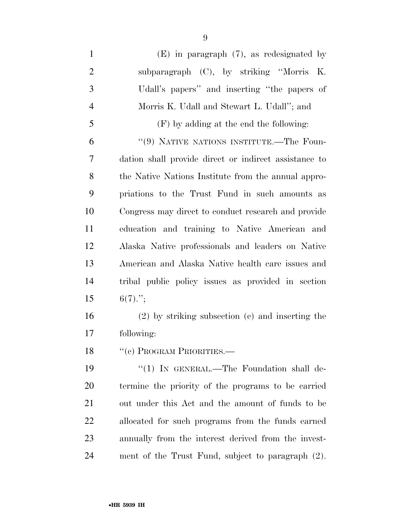(E) in paragraph (7), as redesignated by subparagraph (C), by striking ''Morris K. Udall's papers'' and inserting ''the papers of Morris K. Udall and Stewart L. Udall''; and (F) by adding at the end the following: ''(9) NATIVE NATIONS INSTITUTE.—The Foun- dation shall provide direct or indirect assistance to the Native Nations Institute from the annual appro- priations to the Trust Fund in such amounts as Congress may direct to conduct research and provide education and training to Native American and Alaska Native professionals and leaders on Native American and Alaska Native health care issues and tribal public policy issues as provided in section 15  $6(7)$ ."; (2) by striking subsection (c) and inserting the following: 18 "(e) PROGRAM PRIORITIES.— 19 "(1) IN GENERAL.—The Foundation shall de-

 termine the priority of the programs to be carried out under this Act and the amount of funds to be allocated for such programs from the funds earned annually from the interest derived from the invest-ment of the Trust Fund, subject to paragraph (2).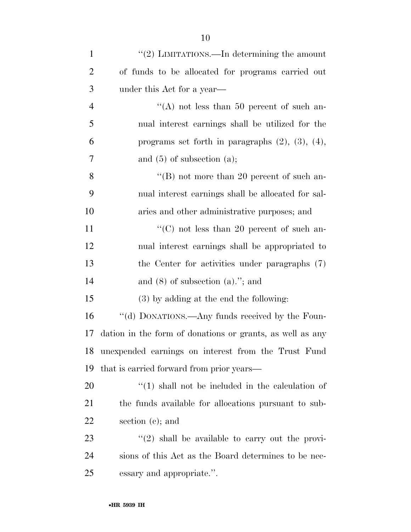| $\mathbf{1}$   | "(2) LIMITATIONS.—In determining the amount               |
|----------------|-----------------------------------------------------------|
| $\overline{2}$ | of funds to be allocated for programs carried out         |
| 3              | under this Act for a year—                                |
| $\overline{4}$ | "(A) not less than 50 percent of such an-                 |
| 5              | nual interest earnings shall be utilized for the          |
| 6              | programs set forth in paragraphs $(2)$ , $(3)$ , $(4)$ ,  |
| 7              | and $(5)$ of subsection $(a)$ ;                           |
| 8              | "(B) not more than 20 percent of such an-                 |
| 9              | nual interest earnings shall be allocated for sal-        |
| 10             | aries and other administrative purposes; and              |
| 11             | "(C) not less than 20 percent of such an-                 |
| 12             | nual interest earnings shall be appropriated to           |
| 13             | the Center for activities under paragraphs (7)            |
| 14             | and $(8)$ of subsection $(a)$ ."; and                     |
| 15             | (3) by adding at the end the following:                   |
| 16             | "(d) DONATIONS.—Any funds received by the Foun-           |
| 17             | dation in the form of donations or grants, as well as any |
| 18             | unexpended earnings on interest from the Trust Fund       |
| 19             | that is carried forward from prior years—                 |
| 20             | $\lq(1)$ shall not be included in the calculation of      |
| 21             | the funds available for allocations pursuant to sub-      |
| 22             | section $(c)$ ; and                                       |
| 23             | $\lq(2)$ shall be available to carry out the provi-       |
| 24             | sions of this Act as the Board determines to be nec-      |
| 25             | essary and appropriate.".                                 |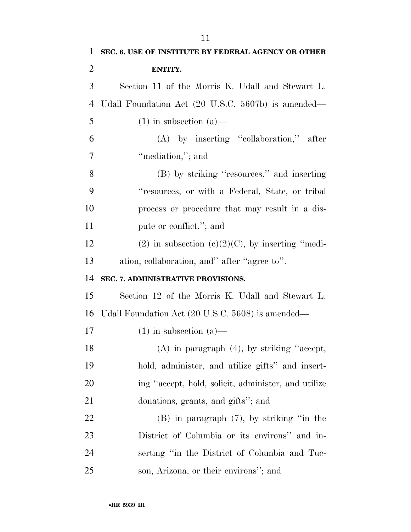| $\mathbf{1}$   | SEC. 6. USE OF INSTITUTE BY FEDERAL AGENCY OR OTHER   |
|----------------|-------------------------------------------------------|
| $\overline{2}$ | ENTITY.                                               |
| 3              | Section 11 of the Morris K. Udall and Stewart L.      |
| $\overline{4}$ | Udall Foundation Act (20 U.S.C. 5607b) is amended—    |
| 5              | $(1)$ in subsection $(a)$ —                           |
| 6              | $(A)$ by inserting "collaboration," after             |
| 7              | "mediation,"; and                                     |
| 8              | (B) by striking "resources." and inserting            |
| 9              | "resources, or with a Federal, State, or tribal       |
| 10             | process or procedure that may result in a dis-        |
| 11             | pute or conflict."; and                               |
| 12             | $(2)$ in subsection $(e)(2)(C)$ , by inserting "medi- |
| 13             | ation, collaboration, and" after "agree to".          |
| 14             | SEC. 7. ADMINISTRATIVE PROVISIONS.                    |
| 15             | Section 12 of the Morris K. Udall and Stewart L.      |
| 16             | Udall Foundation Act (20 U.S.C. 5608) is amended—     |
| 17             | $(1)$ in subsection $(a)$ —                           |
| 18             | (A) in paragraph $(4)$ , by striking "accept,         |
| 19             | hold, administer, and utilize gifts" and insert-      |
| 20             | ing "accept, hold, solicit, administer, and utilize   |
| 21             | donations, grants, and gifts"; and                    |
| 22             | $(B)$ in paragraph $(7)$ , by striking "in the        |
| 23             | District of Columbia or its environs" and in-         |
| 24             | serting "in the District of Columbia and Tuc-         |
| 25             | son, Arizona, or their environs"; and                 |